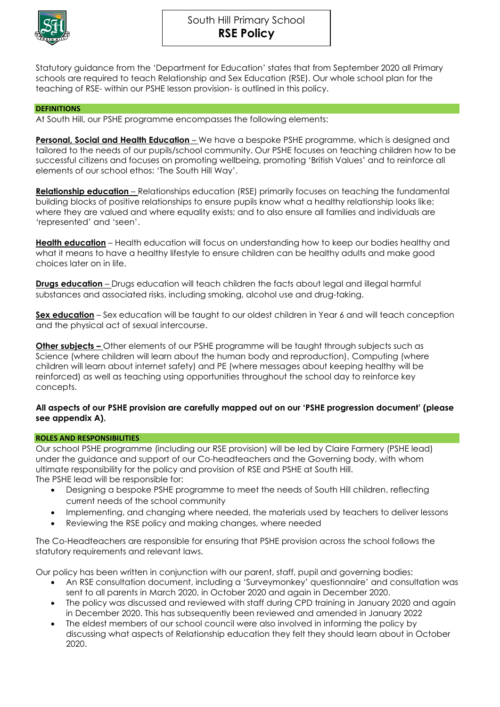

South Hill Primary School **RSE Policy**

Statutory guidance from the 'Department for Education' states that from September 2020 all Primary schools are required to teach Relationship and Sex Education (RSE). Our whole school plan for the teaching of RSE- within our PSHE lesson provision- is outlined in this policy.

### **DEFINITIONS**

At South Hill, our PSHE programme encompasses the following elements:

**Personal, Social and Health Education** – We have a bespoke PSHE programme, which is designed and tailored to the needs of our pupils/school community. Our PSHE focuses on teaching children how to be successful citizens and focuses on promoting wellbeing, promoting 'British Values' and to reinforce all elements of our school ethos: 'The South Hill Way'.

**Relationship education** – Relationships education (RSE) primarily focuses on teaching the fundamental building blocks of positive relationships to ensure pupils know what a healthy relationship looks like; where they are valued and where equality exists; and to also ensure all families and individuals are 'represented' and 'seen'.

**Health education** – Health education will focus on understanding how to keep our bodies healthy and what it means to have a healthy lifestyle to ensure children can be healthy adults and make good choices later on in life.

**Drugs education** – Drugs education will teach children the facts about legal and illegal harmful substances and associated risks, including smoking, alcohol use and drug-taking.

**Sex education** – Sex education will be taught to our oldest children in Year 6 and will teach conception and the physical act of sexual intercourse.

**Other subjects –** Other elements of our PSHE programme will be taught through subjects such as Science (where children will learn about the human body and reproduction), Computing (where children will learn about internet safety) and PE (where messages about keeping healthy will be reinforced) as well as teaching using opportunities throughout the school day to reinforce key concepts.

### **All aspects of our PSHE provision are carefully mapped out on our 'PSHE progression document' (please see appendix A).**

### **ROLES AND RESPONSIBILITIES**

Our school PSHE programme (including our RSE provision) will be led by Claire Farmery (PSHE lead) under the guidance and support of our Co-headteachers and the Governing body, with whom ultimate responsibility for the policy and provision of RSE and PSHE at South Hill. The PSHE lead will be responsible for:

- Designing a bespoke PSHE programme to meet the needs of South Hill children, reflecting current needs of the school community
- Implementing, and changing where needed, the materials used by teachers to deliver lessons
- Reviewing the RSE policy and making changes, where needed

The Co-Headteachers are responsible for ensuring that PSHE provision across the school follows the statutory requirements and relevant laws.

Our policy has been written in conjunction with our parent, staff, pupil and governing bodies:

- An RSE consultation document, including a 'Surveymonkey' questionnaire' and consultation was sent to all parents in March 2020, in October 2020 and again in December 2020.
- The policy was discussed and reviewed with staff during CPD training in January 2020 and again in December 2020. This has subsequently been reviewed and amended in January 2022
- The eldest members of our school council were also involved in informing the policy by discussing what aspects of Relationship education they felt they should learn about in October 2020.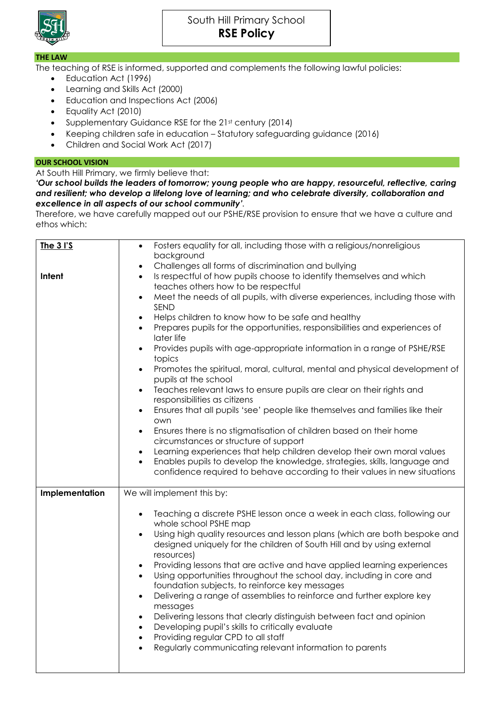

## South Hill Primary School **RSE Policy**

### **THE LAW**

The teaching of RSE is informed, supported and complements the following lawful policies:

- Education Act (1996)
- Learning and Skills Act (2000)
- Education and Inspections Act (2006)
- Equality Act (2010)
- Supplementary Guidance RSE for the 21st century (2014)
- Keeping children safe in education Statutory safeguarding guidance (2016)
- Children and Social Work Act (2017)

## **OUR SCHOOL VISION**

## At South Hill Primary, we firmly believe that:

*'Our school builds the leaders of tomorrow; young people who are happy, resourceful, reflective, caring and resilient; who develop a lifelong love of learning; and who celebrate diversity, collaboration and excellence in all aspects of our school community'.*

Therefore, we have carefully mapped out our PSHE/RSE provision to ensure that we have a culture and ethos which:

| <b>The 3 I'S</b> | Fosters equality for all, including those with a religious/nonreligious                                           |
|------------------|-------------------------------------------------------------------------------------------------------------------|
|                  | background                                                                                                        |
|                  | Challenges all forms of discrimination and bullying<br>$\bullet$                                                  |
| Intent           | Is respectful of how pupils choose to identify themselves and which<br>$\bullet$                                  |
|                  | teaches others how to be respectful                                                                               |
|                  | Meet the needs of all pupils, with diverse experiences, including those with<br>$\bullet$<br>SEND                 |
|                  | Helps children to know how to be safe and healthy<br>$\bullet$                                                    |
|                  | Prepares pupils for the opportunities, responsibilities and experiences of<br>$\bullet$                           |
|                  | later life                                                                                                        |
|                  | Provides pupils with age-appropriate information in a range of PSHE/RSE<br>$\bullet$                              |
|                  | topics                                                                                                            |
|                  | Promotes the spiritual, moral, cultural, mental and physical development of<br>$\bullet$<br>pupils at the school  |
|                  | Teaches relevant laws to ensure pupils are clear on their rights and<br>$\bullet$<br>responsibilities as citizens |
|                  | Ensures that all pupils 'see' people like themselves and families like their<br>$\bullet$<br>own                  |
|                  | Ensures there is no stigmatisation of children based on their home<br>$\bullet$                                   |
|                  | circumstances or structure of support                                                                             |
|                  | Learning experiences that help children develop their own moral values<br>$\bullet$                               |
|                  | Enables pupils to develop the knowledge, strategies, skills, language and<br>$\bullet$                            |
|                  | confidence required to behave according to their values in new situations                                         |
| Implementation   | We will implement this by:                                                                                        |
|                  | Teaching a discrete PSHE lesson once a week in each class, following our<br>$\bullet$                             |
|                  | whole school PSHE map                                                                                             |
|                  | Using high quality resources and lesson plans (which are both bespoke and<br>$\bullet$                            |
|                  | designed uniquely for the children of South Hill and by using external                                            |
|                  | resources)                                                                                                        |
|                  | Providing lessons that are active and have applied learning experiences<br>$\bullet$                              |
|                  | Using opportunities throughout the school day, including in core and<br>$\bullet$                                 |
|                  | foundation subjects, to reinforce key messages                                                                    |
|                  | Delivering a range of assemblies to reinforce and further explore key<br>$\bullet$                                |
|                  | messages                                                                                                          |
|                  | Delivering lessons that clearly distinguish between fact and opinion<br>$\bullet$                                 |
|                  | Developing pupil's skills to critically evaluate<br>$\bullet$<br>Providing regular CPD to all staff<br>$\bullet$  |
|                  | Regularly communicating relevant information to parents<br>$\bullet$                                              |
|                  |                                                                                                                   |
|                  |                                                                                                                   |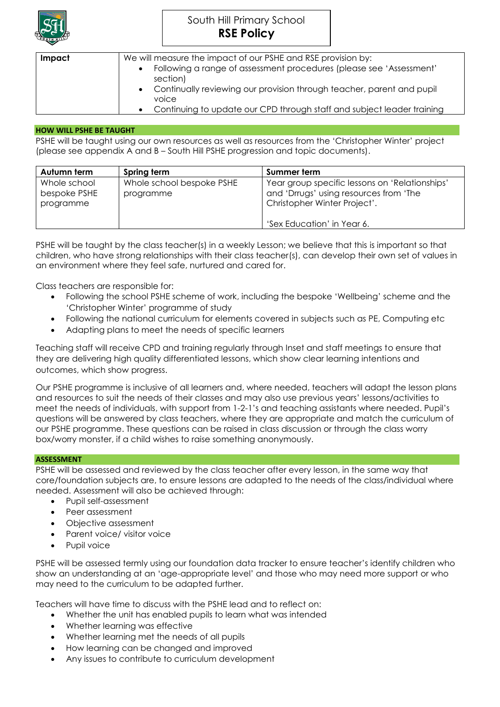

# South Hill Primary School **RSE Policy**

| Impact | We will measure the impact of our PSHE and RSE provision by:                    |  |
|--------|---------------------------------------------------------------------------------|--|
|        | Following a range of assessment procedures (please see 'Assessment'<br>section) |  |
|        | Continually reviewing our provision through teacher, parent and pupil<br>voice  |  |
|        | Continuing to update our CPD through staff and subject leader training          |  |

### **HOW WILL PSHE BE TAUGHT**

PSHE will be taught using our own resources as well as resources from the 'Christopher Winter' project (please see appendix A and B – South Hill PSHE progression and topic documents).

| Autumn term                               | Spring term                            | Summer term                                                                                                              |
|-------------------------------------------|----------------------------------------|--------------------------------------------------------------------------------------------------------------------------|
| Whole school<br>bespoke PSHE<br>programme | Whole school bespoke PSHE<br>programme | Year group specific lessons on 'Relationships'<br>and 'Drrugs' using resources from 'The<br>Christopher Winter Project'. |
|                                           |                                        | 'Sex Education' in Year 6.                                                                                               |

PSHE will be taught by the class teacher(s) in a weekly Lesson; we believe that this is important so that children, who have strong relationships with their class teacher(s), can develop their own set of values in an environment where they feel safe, nurtured and cared for.

Class teachers are responsible for:

- Following the school PSHE scheme of work, including the bespoke 'Wellbeing' scheme and the 'Christopher Winter' programme of study
- Following the national curriculum for elements covered in subjects such as PE, Computing etc
- Adapting plans to meet the needs of specific learners

Teaching staff will receive CPD and training regularly through Inset and staff meetings to ensure that they are delivering high quality differentiated lessons, which show clear learning intentions and outcomes, which show progress.

Our PSHE programme is inclusive of all learners and, where needed, teachers will adapt the lesson plans and resources to suit the needs of their classes and may also use previous years' lessons/activities to meet the needs of individuals, with support from 1-2-1's and teaching assistants where needed. Pupil's questions will be answered by class teachers, where they are appropriate and match the curriculum of our PSHE programme. These questions can be raised in class discussion or through the class worry box/worry monster, if a child wishes to raise something anonymously.

### **ASSESSMENT**

PSHE will be assessed and reviewed by the class teacher after every lesson, in the same way that core/foundation subjects are, to ensure lessons are adapted to the needs of the class/individual where needed. Assessment will also be achieved through:

- Pupil self-assessment
- Peer assessment
- Objective assessment
- Parent voice/ visitor voice
- Pupil voice

PSHE will be assessed termly using our foundation data tracker to ensure teacher's identify children who show an understanding at an 'age-appropriate level' and those who may need more support or who may need to the curriculum to be adapted further.

Teachers will have time to discuss with the PSHE lead and to reflect on:

- Whether the unit has enabled pupils to learn what was intended
- Whether learning was effective
- Whether learning met the needs of all pupils
- How learning can be changed and improved
- Any issues to contribute to curriculum development